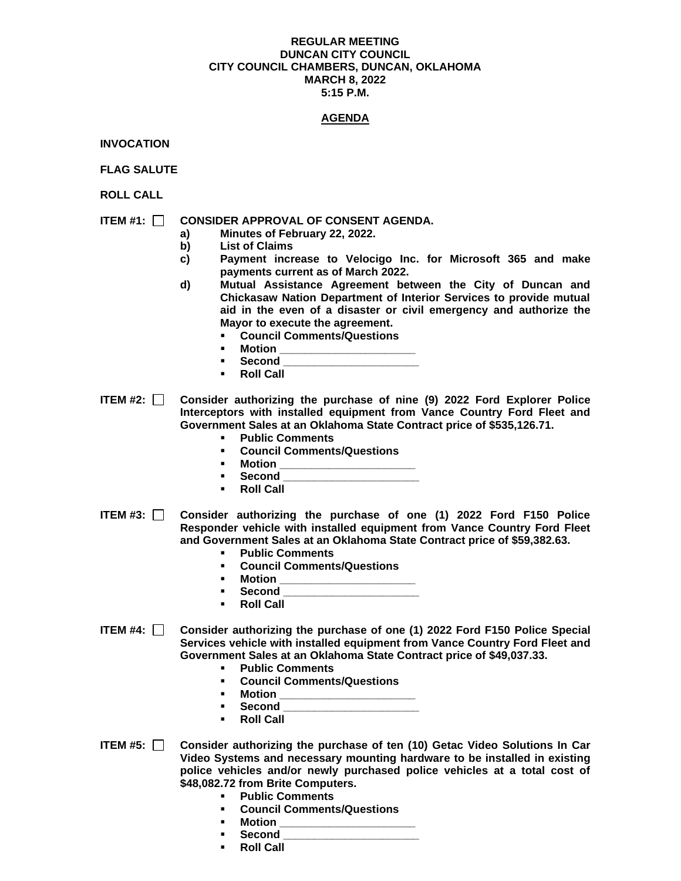#### **REGULAR MEETING DUNCAN CITY COUNCIL CITY COUNCIL CHAMBERS, DUNCAN, OKLAHOMA MARCH 8, 2022 5:15 P.M.**

# **AGENDA**

**INVOCATION**

**FLAG SALUTE**

**ROLL CALL**

# **ITEM #1: CONSIDER APPROVAL OF CONSENT AGENDA.**

- **a) Minutes of February 22, 2022.**
- **b) List of Claims**
- **c) Payment increase to Velocigo Inc. for Microsoft 365 and make payments current as of March 2022.**
- **d) Mutual Assistance Agreement between the City of Duncan and Chickasaw Nation Department of Interior Services to provide mutual aid in the even of a disaster or civil emergency and authorize the Mayor to execute the agreement.**
	- **Council Comments/Questions**
	- **Motion**
	- **Second \_\_\_\_\_\_\_\_\_\_\_\_\_\_\_\_\_\_\_\_\_\_**
	- **Roll Call**

**ITEM #2: Consider authorizing the purchase of nine (9) 2022 Ford Explorer Police Interceptors with installed equipment from Vance Country Ford Fleet and Government Sales at an Oklahoma State Contract price of \$535,126.71.** 

- **Public Comments**
- **Council Comments/Questions**
- **Motion \_\_\_\_\_\_\_\_\_\_\_\_\_\_\_\_\_\_\_\_\_\_**
	- **Second \_\_\_\_\_\_\_\_\_\_\_\_\_\_\_\_\_\_\_\_\_\_\_\_**
- **Roll Call**
- **ITEM #3: Consider authorizing the purchase of one (1) 2022 Ford F150 Police Responder vehicle with installed equipment from Vance Country Ford Fleet and Government Sales at an Oklahoma State Contract price of \$59,382.63.**
	- **Public Comments**
	- **Council Comments/Questions**
	- **Motion \_\_\_\_\_\_\_\_\_\_\_\_\_\_\_\_\_\_\_\_\_\_**
	- **Second \_\_\_\_\_\_\_\_\_\_\_\_\_\_\_\_\_\_\_\_\_\_**
	- **Roll Call**
- **ITEM #4: Consider authorizing the purchase of one (1) 2022 Ford F150 Police Special Services vehicle with installed equipment from Vance Country Ford Fleet and Government Sales at an Oklahoma State Contract price of \$49,037.33.**
	- **Public Comments**
	- **Council Comments/Questions**
	- **Motion \_\_\_\_\_\_\_\_\_\_\_\_\_\_\_\_\_\_\_\_\_\_**
	- **Second \_\_\_\_\_\_\_\_\_\_\_\_\_\_\_\_\_\_\_\_\_\_**
	- **Roll Call**
- **ITEM #5: Consider authorizing the purchase of ten (10) Getac Video Solutions In Car Video Systems and necessary mounting hardware to be installed in existing police vehicles and/or newly purchased police vehicles at a total cost of \$48,082.72 from Brite Computers.**
	- **Public Comments**
	- **Council Comments/Questions**
	- **Motion \_\_\_\_\_\_\_\_\_\_\_\_\_\_\_\_\_\_\_\_\_\_**
	- **Second \_\_\_\_\_\_\_\_\_\_\_\_\_\_\_\_\_\_\_\_\_\_**
	- **Roll Call**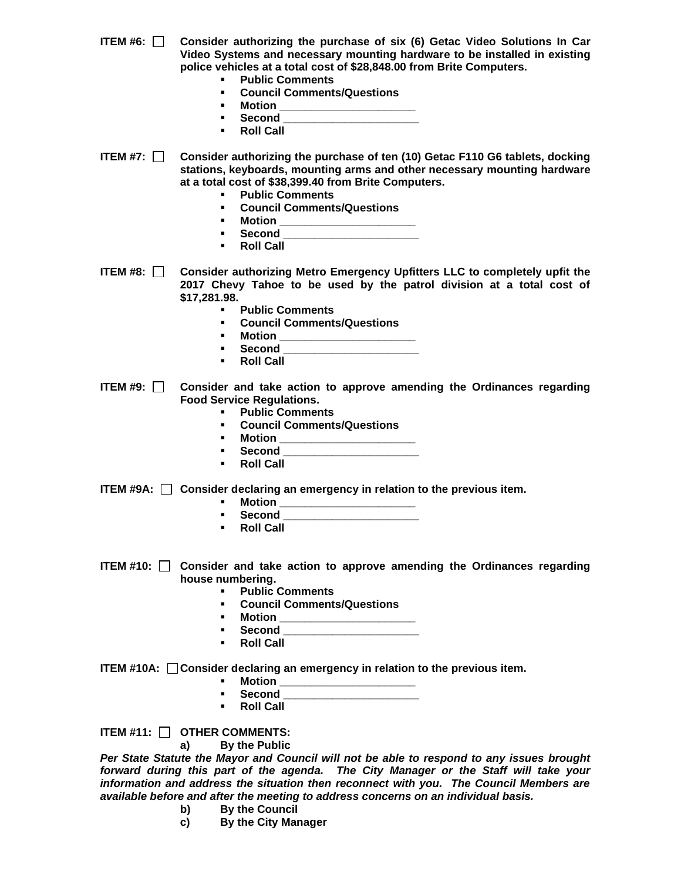- **ITEM #6: Consider authorizing the purchase of six (6) Getac Video Solutions In Car Video Systems and necessary mounting hardware to be installed in existing police vehicles at a total cost of \$28,848.00 from Brite Computers.**
	- **Public Comments**
	- **Council Comments/Questions**
	- **Motion \_\_\_\_\_\_\_\_\_\_\_\_\_\_\_\_\_\_\_\_\_\_**
	- **Second \_\_\_\_\_\_\_\_\_\_\_\_\_\_\_\_\_\_\_\_\_\_**
	- **Roll Call**
- **ITEM #7: Consider authorizing the purchase of ten (10) Getac F110 G6 tablets, docking stations, keyboards, mounting arms and other necessary mounting hardware at a total cost of \$38,399.40 from Brite Computers.**
	- **Public Comments**
	- **Council Comments/Questions**
	- **Motion \_\_\_\_\_\_\_\_\_\_\_\_\_\_\_\_\_\_\_\_\_\_**
	- **Second \_\_\_\_\_\_\_\_\_\_\_\_\_\_\_\_\_\_\_\_\_\_**
	- **Roll Call**
- **ITEM #8: Consider authorizing Metro Emergency Upfitters LLC to completely upfit the 2017 Chevy Tahoe to be used by the patrol division at a total cost of \$17,281.98.**
	- **Public Comments**
	- **Council Comments/Questions**
	- **Motion \_\_\_\_\_\_\_\_\_\_\_\_\_\_\_\_\_\_\_\_\_\_**
	- **Second \_\_\_\_\_\_\_\_\_\_\_\_\_\_\_\_\_\_\_\_\_\_**
	- **Roll Call**
- **ITEM #9: Consider and take action to approve amending the Ordinances regarding Food Service Regulations.**
	- **Public Comments**
	- **Council Comments/Questions**
	- **Motion \_\_\_\_\_\_\_\_\_\_\_\_\_\_\_\_\_\_\_\_\_\_**
	- **Second \_\_\_\_\_\_\_\_\_\_\_\_\_\_\_\_\_\_\_\_\_\_**
	- **Roll Call**
- **ITEM #9A: Consider declaring an emergency in relation to the previous item.**
	- **Motion \_\_\_\_\_\_\_\_\_\_\_\_\_\_\_\_\_\_\_\_\_\_**
	- **Second \_\_\_\_\_\_\_\_\_\_\_\_\_\_\_\_\_\_\_\_\_\_**
	- **Roll Call**
- **ITEM #10: Consider and take action to approve amending the Ordinances regarding house numbering.** 
	- **Public Comments**
	- **Council Comments/Questions**
	- **Motion \_\_\_\_\_\_\_\_\_\_\_\_\_\_\_\_\_\_\_\_\_\_**
	- **Second \_\_\_\_\_\_\_\_\_\_\_\_\_\_\_\_\_\_\_\_\_\_**
	- **Roll Call**

**ITEM #10A: Consider declaring an emergency in relation to the previous item.**

- **Motion \_\_\_\_\_\_\_\_\_\_\_\_\_\_\_\_\_\_\_\_\_\_**
- **Second \_\_\_\_\_\_\_\_\_\_\_\_\_\_\_\_\_\_\_\_\_\_**
- **Roll Call**

**ITEM #11: OTHER COMMENTS:**

## **a) By the Public**

*Per State Statute the Mayor and Council will not be able to respond to any issues brought forward during this part of the agenda. The City Manager or the Staff will take your information and address the situation then reconnect with you. The Council Members are available before and after the meeting to address concerns on an individual basis.*

- **b) By the Council**
- **c) By the City Manager**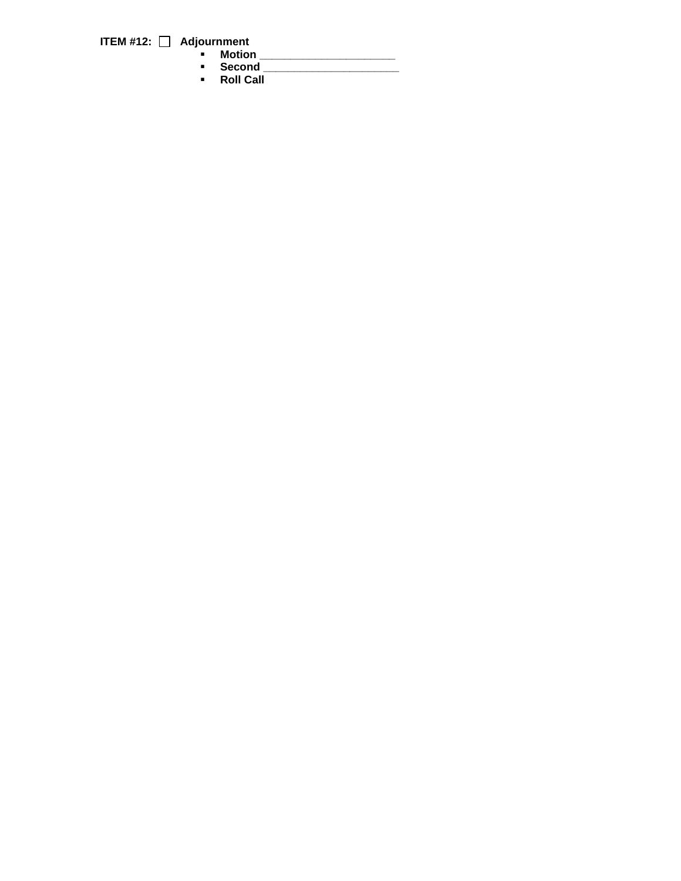**ITEM #12: Adjournment**

- **Motion \_\_\_\_\_\_\_\_\_\_\_\_\_\_\_\_\_\_\_\_\_\_**
	- **Second \_\_\_\_\_\_\_\_\_\_\_\_\_\_\_\_\_\_\_\_\_\_**
	- **Roll Call**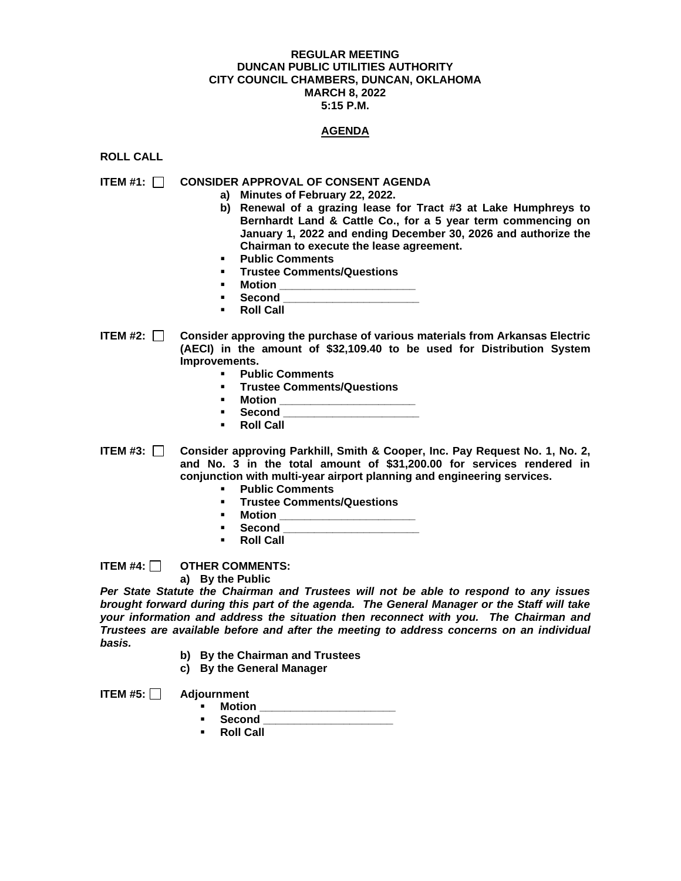## **REGULAR MEETING DUNCAN PUBLIC UTILITIES AUTHORITY CITY COUNCIL CHAMBERS, DUNCAN, OKLAHOMA MARCH 8, 2022 5:15 P.M.**

## **AGENDA**

**ROLL CALL**

## **ITEM #1: CONSIDER APPROVAL OF CONSENT AGENDA**

- **a) Minutes of February 22, 2022.**
- **b) Renewal of a grazing lease for Tract #3 at Lake Humphreys to Bernhardt Land & Cattle Co., for a 5 year term commencing on January 1, 2022 and ending December 30, 2026 and authorize the Chairman to execute the lease agreement.**
- **Public Comments**
- **Trustee Comments/Questions**
- **Motion \_\_\_\_\_\_\_\_\_\_\_\_\_\_\_\_\_\_\_\_\_\_**
- $\bf Second$
- **Roll Call**
- **ITEM #2: Consider approving the purchase of various materials from Arkansas Electric (AECI) in the amount of \$32,109.40 to be used for Distribution System Improvements.**
	- **Public Comments**
	- **Trustee Comments/Questions**
	- **Motion**
	- **Second \_\_\_\_\_\_\_\_\_\_\_\_\_\_\_\_\_\_\_\_\_\_**
	- **Roll Call**
- **ITEM #3: Consider approving Parkhill, Smith & Cooper, Inc. Pay Request No. 1, No. 2, and No. 3 in the total amount of \$31,200.00 for services rendered in conjunction with multi-year airport planning and engineering services.** 
	- **Public Comments**
	- **Trustee Comments/Questions**
	- **Motion \_\_\_\_\_\_\_\_\_\_\_\_\_\_\_\_\_\_\_\_\_\_**
	- **Second \_\_\_\_\_\_\_\_\_\_\_\_\_\_\_\_\_\_\_\_\_\_**
	- **Roll Call**

**ITEM #4: OTHER COMMENTS:**

**a) By the Public**

*Per State Statute the Chairman and Trustees will not be able to respond to any issues brought forward during this part of the agenda. The General Manager or the Staff will take your information and address the situation then reconnect with you. The Chairman and Trustees are available before and after the meeting to address concerns on an individual basis.*

- **b) By the Chairman and Trustees**
- **c) By the General Manager**

**ITEM #5: Adjournment**

- **Motion**
- **Second \_\_\_\_\_\_\_\_\_\_\_\_\_\_\_\_\_\_\_\_\_**
- **Roll Call**